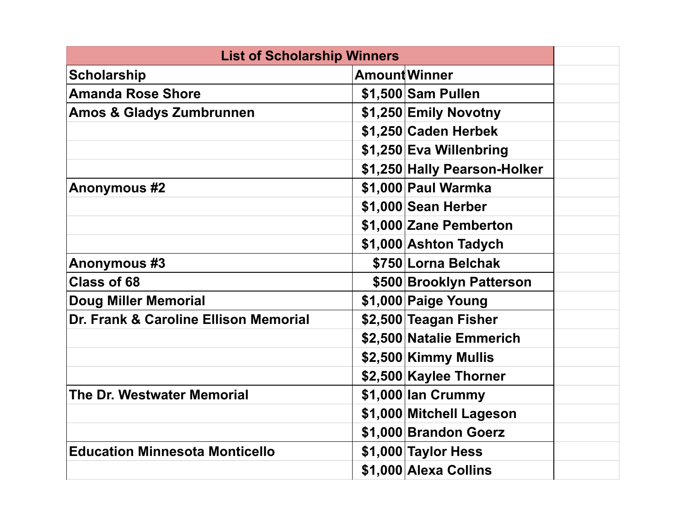| <b>List of Scholarship Winners</b>    |                              |  |
|---------------------------------------|------------------------------|--|
| <b>Scholarship</b>                    | <b>Amount Winner</b>         |  |
| <b>Amanda Rose Shore</b>              | \$1,500 Sam Pullen           |  |
| <b>Amos &amp; Gladys Zumbrunnen</b>   | \$1,250 Emily Novotny        |  |
|                                       | \$1,250 Caden Herbek         |  |
|                                       | \$1,250 Eva Willenbring      |  |
|                                       | \$1,250 Hally Pearson-Holker |  |
| <b>Anonymous #2</b>                   | \$1,000 Paul Warmka          |  |
|                                       | \$1,000 Sean Herber          |  |
|                                       | \$1,000 Zane Pemberton       |  |
|                                       | \$1,000 Ashton Tadych        |  |
| <b>Anonymous #3</b>                   | \$750 Lorna Belchak          |  |
| <b>Class of 68</b>                    | \$500 Brooklyn Patterson     |  |
| <b>Doug Miller Memorial</b>           | \$1,000 Paige Young          |  |
| Dr. Frank & Caroline Ellison Memorial | \$2,500 Teagan Fisher        |  |
|                                       | \$2,500 Natalie Emmerich     |  |
|                                       | \$2,500 Kimmy Mullis         |  |
|                                       | \$2,500 Kaylee Thorner       |  |
| <b>The Dr. Westwater Memorial</b>     | \$1,000 lan Crummy           |  |
|                                       | \$1,000 Mitchell Lageson     |  |
|                                       | \$1,000 Brandon Goerz        |  |
| <b>Education Minnesota Monticello</b> | \$1,000 Taylor Hess          |  |
|                                       | \$1,000 Alexa Collins        |  |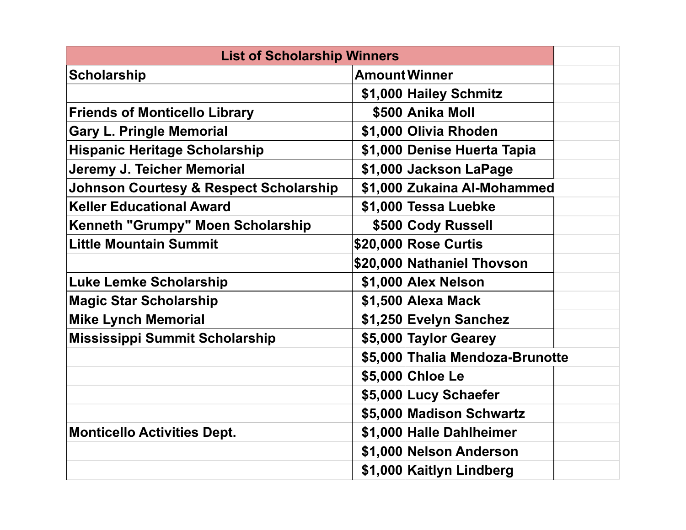| <b>List of Scholarship Winners</b>                |                                 |  |
|---------------------------------------------------|---------------------------------|--|
| <b>Scholarship</b>                                | <b>Amount Winner</b>            |  |
|                                                   | \$1,000 Hailey Schmitz          |  |
| <b>Friends of Monticello Library</b>              | \$500 Anika Moll                |  |
| <b>Gary L. Pringle Memorial</b>                   | \$1,000 Olivia Rhoden           |  |
| <b>Hispanic Heritage Scholarship</b>              | \$1,000 Denise Huerta Tapia     |  |
| Jeremy J. Teicher Memorial                        | \$1,000 Jackson LaPage          |  |
| <b>Johnson Courtesy &amp; Respect Scholarship</b> | \$1,000 Zukaina Al-Mohammed     |  |
| <b>Keller Educational Award</b>                   | \$1,000 Tessa Luebke            |  |
| <b>Kenneth "Grumpy" Moen Scholarship</b>          | \$500 Cody Russell              |  |
| <b>Little Mountain Summit</b>                     | \$20,000 Rose Curtis            |  |
|                                                   | \$20,000 Nathaniel Thovson      |  |
| <b>Luke Lemke Scholarship</b>                     | \$1,000 Alex Nelson             |  |
| <b>Magic Star Scholarship</b>                     | \$1,500 Alexa Mack              |  |
| <b>Mike Lynch Memorial</b>                        | \$1,250 Evelyn Sanchez          |  |
| <b>Mississippi Summit Scholarship</b>             | \$5,000 Taylor Gearey           |  |
|                                                   | \$5,000 Thalia Mendoza-Brunotte |  |
|                                                   | \$5,000 Chloe Le                |  |
|                                                   | \$5,000 Lucy Schaefer           |  |
|                                                   | \$5,000 Madison Schwartz        |  |
| <b>Monticello Activities Dept.</b>                | \$1,000 Halle Dahlheimer        |  |
|                                                   | \$1,000 Nelson Anderson         |  |
|                                                   | \$1,000 Kaitlyn Lindberg        |  |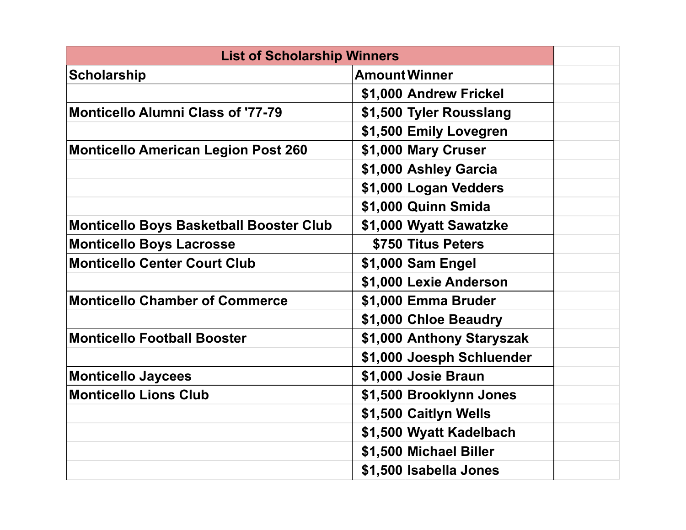| <b>List of Scholarship Winners</b>             |                           |  |
|------------------------------------------------|---------------------------|--|
| <b>Scholarship</b>                             | <b>Amount Winner</b>      |  |
|                                                | \$1,000 Andrew Frickel    |  |
| <b>Monticello Alumni Class of '77-79</b>       | \$1,500 Tyler Rousslang   |  |
|                                                | \$1,500 Emily Lovegren    |  |
| <b>Monticello American Legion Post 260</b>     | \$1,000 Mary Cruser       |  |
|                                                | \$1,000 Ashley Garcia     |  |
|                                                | \$1,000 Logan Vedders     |  |
|                                                | \$1,000 Quinn Smida       |  |
| <b>Monticello Boys Basketball Booster Club</b> | \$1,000 Wyatt Sawatzke    |  |
| <b>Monticello Boys Lacrosse</b>                | \$750 Titus Peters        |  |
| <b>Monticello Center Court Club</b>            | \$1,000 Sam Engel         |  |
|                                                | \$1,000 Lexie Anderson    |  |
| <b>Monticello Chamber of Commerce</b>          | \$1,000 Emma Bruder       |  |
|                                                | \$1,000 Chloe Beaudry     |  |
| <b>Monticello Football Booster</b>             | \$1,000 Anthony Staryszak |  |
|                                                | \$1,000 Joesph Schluender |  |
| <b>Monticello Jaycees</b>                      | \$1,000 Josie Braun       |  |
| <b>Monticello Lions Club</b>                   | \$1,500 Brooklynn Jones   |  |
|                                                | \$1,500 Caitlyn Wells     |  |
|                                                | \$1,500 Wyatt Kadelbach   |  |
|                                                | \$1,500 Michael Biller    |  |
|                                                | \$1,500 Isabella Jones    |  |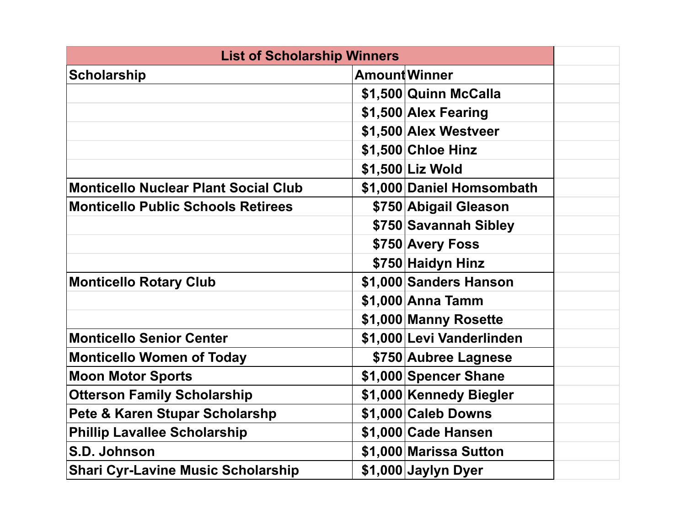| <b>List of Scholarship Winners</b>          |                           |  |
|---------------------------------------------|---------------------------|--|
| <b>Scholarship</b>                          | <b>Amount Winner</b>      |  |
|                                             | \$1,500 Quinn McCalla     |  |
|                                             | \$1,500 Alex Fearing      |  |
|                                             | \$1,500 Alex Westveer     |  |
|                                             | \$1,500 Chloe Hinz        |  |
|                                             | \$1,500 Liz Wold          |  |
| <b>Monticello Nuclear Plant Social Club</b> | \$1,000 Daniel Homsombath |  |
| <b>Monticello Public Schools Retirees</b>   | \$750 Abigail Gleason     |  |
|                                             | \$750 Savannah Sibley     |  |
|                                             | \$750 Avery Foss          |  |
|                                             | \$750 Haidyn Hinz         |  |
| <b>Monticello Rotary Club</b>               | \$1,000 Sanders Hanson    |  |
|                                             | \$1,000 Anna Tamm         |  |
|                                             | \$1,000 Manny Rosette     |  |
| <b>Monticello Senior Center</b>             | \$1,000 Levi Vanderlinden |  |
| <b>Monticello Women of Today</b>            | \$750 Aubree Lagnese      |  |
| <b>Moon Motor Sports</b>                    | \$1,000 Spencer Shane     |  |
| <b>Otterson Family Scholarship</b>          | \$1,000 Kennedy Biegler   |  |
| <b>Pete &amp; Karen Stupar Scholarshp</b>   | \$1,000 Caleb Downs       |  |
| <b>Phillip Lavallee Scholarship</b>         | \$1,000 Cade Hansen       |  |
| S.D. Johnson                                | \$1,000 Marissa Sutton    |  |
| <b>Shari Cyr-Lavine Music Scholarship</b>   | \$1,000 Jaylyn Dyer       |  |